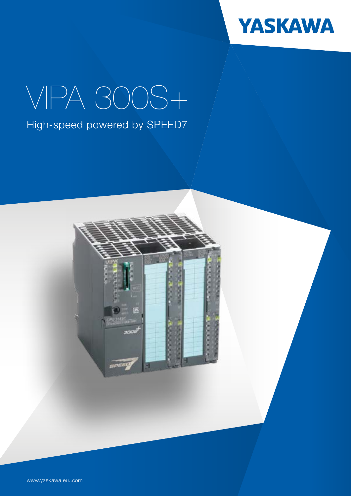

## VIPA 300S+ High-speed powered by SPEED7



www.yaskawa.eu..com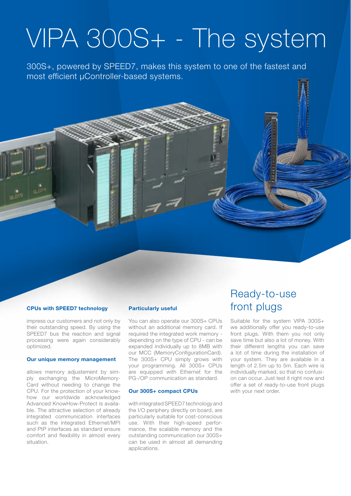## VIPA 300S+ - The system

300S+, powered by SPEED7, makes this system to one of the fastest and most efficient µController-based systems.

## **CPUs with SPEED7 technology**

impress our customers and not only by their outstanding speed. By using the SPEED7 bus the reaction and signal processing were again considerably optimized.

#### **Our unique memory management**

allows memory adjustement by simply exchanging the MicroMemory-Card without needing to change the CPU. For the protection of your knowhow our worldwide acknowledged Advanced KnowHow-Protect is available. The attractive selection of already integrated communication interfaces such as the integrated Ethernet/MPI and PtP interfaces as standard ensure comfort and flexibility in almost every situation.

#### **Particularly useful**

You can also operate our 300S+ CPUs without an additional memory card. If required the integrated work memory depending on the type of CPU - can be expanded individually up to 8MB with our MCC (MemoryConfigurationCard). The 300S+ CPU simply grows with your programming. All 300S+ CPUs are equipped with Ethernet for the PG-/OP communication as standard.

## **Our 300S+ compact CPUs**

with integrated SPFFD7 technology and the I/O periphery directly on board, are particularly suitable for cost-conscious use. With their high-speed performance, the scalable memory and the outstanding communication our 300S+ can be used in almost all demanding applications.

## Ready-to-use front plugs

Suitable for the system VIPA 300S+ we additionally offer you ready-to-use front plugs. With them you not only save time but also a lot of money. With their different lengths you can save a lot of time during the installation of your system. They are available in a length of 2.5m up to 5m. Each wire is individually marked, so that no confusion can occur. Just test it right now and offer a set of ready-to-use front plugs with your next order.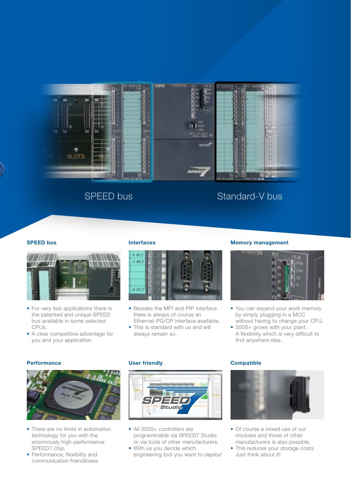

## SPEED bus Standard-V bus

### **SPEED bus**



- For very fast applications there is the patented and unique SPEED bus available in some selected CPUs.
- A clear competitive advantage for you and your application.

#### **Interfaces**



- Besides the MPI and PtP interface there is always of course an Ethernet-PG/OP interface available.
- This is standard with us and will always remain so.

## **Memory management**



- You can expand your work memory by simply plugging in a MCC without having to change your CPU.
- 300S+ grows with your plant.
- A flexibility which is very difficult to find anywhere else.

#### **Performance**



- There are no limits in automation technology for you with the enormously high-performance SPEED7 chip.
- Performance, flexibility and communication friendliness.

### **User friendly**



- All 300S+ controllers are programmable via SPEED7 Studio or via tools of other manufacturers.
- With us you decide which engineering tool you want to deploy!

#### **Compatible**



- Of course a mixed use of our modules and those of other manufacturers is also possible.
- This reduces your storage costs. Just think about it!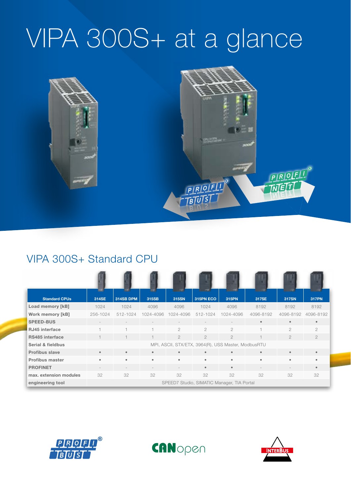# VIPA 300S+ at a glance



## VIPA 300S+ Standard CPU

| <b>Standard CPUs</b>   | 314SE                                      | 314SB DPM                                           | 315SB     | 315SN                    | --<br>315PN ECO | 315PN          | 317SE     | 317SN          | 317PN          |
|------------------------|--------------------------------------------|-----------------------------------------------------|-----------|--------------------------|-----------------|----------------|-----------|----------------|----------------|
| Load memory [kB]       | 1024                                       | 1024                                                | 4096      | 4096                     | 1024            | 4096           | 8192      | 8192           | 8192           |
| Work memory [kB]       | 256-1024                                   | 512-1024                                            | 1024-4096 | 1024-4096                | 512-1024        | 1024-4096      | 4096-8192 | 4096-8192      | 4096-8192      |
| <b>SPEED-BUS</b>       |                                            |                                                     |           | $\overline{\phantom{a}}$ |                 |                | $\bullet$ | $\bullet$      |                |
| <b>RJ45</b> interface  |                                            | ٠                                                   |           | $\mathfrak{D}$           | $\mathfrak{D}$  | $\overline{c}$ |           | $\overline{2}$ | $\mathfrak{D}$ |
| RS485 interface        |                                            | $\overline{\phantom{0}}$                            |           | $\overline{2}$           | $\overline{2}$  | $\overline{2}$ |           | $\overline{2}$ | $\mathfrak{D}$ |
| Serial & fieldbus      |                                            | MPI, ASCII, STX/ETX, 3964(R), USS Master, ModbusRTU |           |                          |                 |                |           |                |                |
| <b>Profibus slave</b>  | $\bullet$                                  | $\bullet$                                           | $\bullet$ | $\bullet$                | $\bullet$       | $\bullet$      | $\bullet$ | $\bullet$      |                |
| <b>Profibus master</b> | $\bullet$                                  | $\bullet$                                           | $\bullet$ | $\bullet$                | $\bullet$       | $\bullet$      | $\bullet$ | $\bullet$      |                |
| <b>PROFINET</b>        |                                            |                                                     |           |                          | $\bullet$       | $\bullet$      |           |                |                |
| max. extension modules | 32                                         | 32                                                  | 32        | 32                       | 32              | 32             | 32        | 32             | 32             |
| engineering tool       | SPEED7 Studio, SIMATIC Manager, TIA Portal |                                                     |           |                          |                 |                |           |                |                |





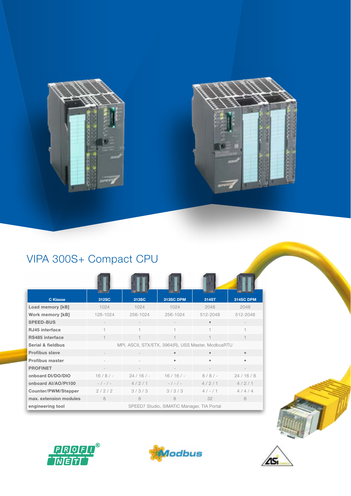



## VIPA 300S+ Compact CPU

| <b>C</b> Klasse         | 312SC                                               | 313SC     | 313SC DPM       | 314ST      | 314SC DPM |  |  |  |
|-------------------------|-----------------------------------------------------|-----------|-----------------|------------|-----------|--|--|--|
| Load memory [kB]        | 1024                                                | 1024      | 1024            | 2048       | 2048      |  |  |  |
| <b>Work memory [kB]</b> | 128-1024                                            | 256-1024  | 256-1024        | 512-2048   | 512-2048  |  |  |  |
| <b>SPEED-BUS</b>        |                                                     |           |                 |            |           |  |  |  |
| RJ45 interface          |                                                     |           | 1.              |            |           |  |  |  |
| RS485 interface         | $\mathbf{1}$                                        |           | 1.              |            | 1         |  |  |  |
| Serial & fieldbus       | MPI, ASCII, STX/ETX, 3964(R), USS Master, ModbusRTU |           |                 |            |           |  |  |  |
| <b>Profibus slave</b>   |                                                     |           |                 |            | $\bullet$ |  |  |  |
| <b>Profibus master</b>  |                                                     |           |                 |            | ٠         |  |  |  |
| <b>PROFINET</b>         |                                                     |           |                 |            |           |  |  |  |
| onboard DI/DO/DIO       | 16/8/                                               | $24/16/-$ | $16/16/-$       | $8/8/-$    | 24/16/8   |  |  |  |
| onboard Al/AO/Pt100     | $-$ / - / -                                         | 4/2/1     | $-$ / $-$ / $-$ | 4/2/1      | 4/2/1     |  |  |  |
| Counter/PWM/Stepper     | 2/2/2                                               | 3/3/3     | 3/3/3           | $4 / - 11$ | 4/4/4     |  |  |  |
| max. extension modules  | 8                                                   | 8         | 8               | 32         | 8         |  |  |  |
| engineering tool        | SPEED7 Studio, SIMATIC Manager, TIA Portal          |           |                 |            |           |  |  |  |







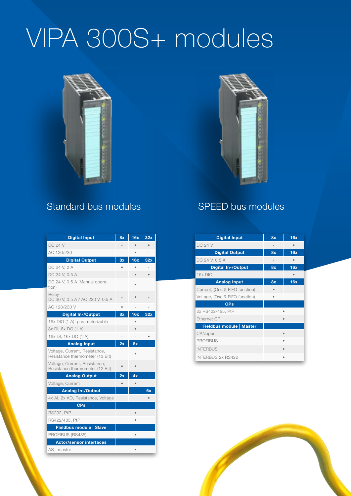# VIPA 300S+ modules





## Standard bus modules SPEED bus modules

| <b>Digital Input</b>                                             | 8x | 16x       | 32x |
|------------------------------------------------------------------|----|-----------|-----|
| <b>DC 24 V</b>                                                   |    |           |     |
| AC 120/230                                                       |    | ٠         |     |
| <b>Digital Output</b>                                            | 8x | 16x       | 32x |
| DC 24 V, 2 A                                                     |    |           |     |
| DC 24 V, 0.5 A                                                   |    |           |     |
| DC 24 V, 0.5 A (Manual opera-<br>tion)                           |    |           |     |
| Relay<br>DC 30 V, 0.5 A / AC 230 V, 0.5 A                        |    |           |     |
| AC 120/230 V                                                     |    |           |     |
| <b>Digital In-/Output</b>                                        | 8x | 16x       | 32x |
| 16x DIO (1 A), parameterizable                                   |    |           |     |
| 8x DI, 8x DO (1 A)                                               |    |           |     |
| 16x DI, 16x DO (1 A)                                             |    |           |     |
| <b>Analog Input</b>                                              | 2x | 8x        |     |
| Voltage, Current, Resistance,<br>Resistance thermometer (13 Bit) |    |           |     |
| Voltage, Current, Resistance,<br>Resistance thermometer (12 Bit) |    |           |     |
| <b>Analog Output</b>                                             | 2x | 4x        |     |
| Voltage, Current                                                 |    |           |     |
| <b>Analog In-/Output</b>                                         |    |           | 6x  |
| 4x AI, 2x AO, Resistance, Voltage                                |    |           | ٠   |
| <b>CPs</b>                                                       |    |           |     |
| <b>RS232, PtP</b>                                                |    | ė         |     |
| RS422/485, PtP                                                   |    |           |     |
| Fieldbus module   Slave                                          |    |           |     |
| PROFIBUS (RS485)                                                 |    | ۰         |     |
| <b>Actor/sensor interfaces</b>                                   |    |           |     |
| AS-i master                                                      |    | $\bullet$ |     |

| <b>Digital Input</b>            | 8x                | 16x |
|---------------------------------|-------------------|-----|
| <b>DC 24 V</b>                  |                   |     |
| <b>Digital Output</b>           | 8x                | 16x |
| DC 24 V, 0.5 A                  |                   |     |
| <b>Digital In-/Output</b>       | 8x                | 16x |
| 16x DIO                         | $\qquad \qquad =$ |     |
| <b>Analog Input</b>             | 8x                | 16x |
| Current, (Osc & FIFO function)  |                   |     |
| Voltage, (Osc & FIFO function)  | $\bullet$         |     |
| <b>CPs</b>                      |                   |     |
| 2x RS422/485, PtP               |                   |     |
| Ethernet CP                     |                   |     |
| <b>Fieldbus module   Master</b> |                   |     |
| CANopen                         |                   |     |
| <b>PROFIBUS</b>                 |                   | ٠   |
| <b>INTERBUS</b>                 |                   |     |
| <b>INTERBUS 2x RS422</b>        |                   |     |

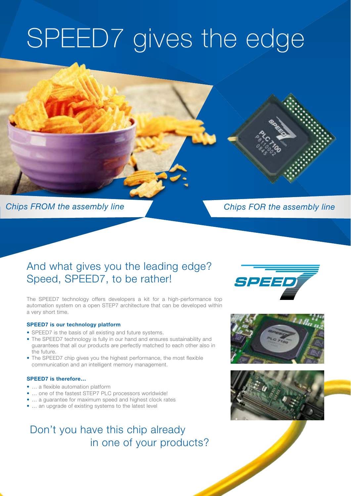# SPEED7 gives the edge

## Chips FROM the assembly line

## Chips FOR the assembly line

## And what gives you the leading edge? Speed, SPEED7, to be rather!

The SPEED7 technology offers developers a kit for a high-performance top automation system on a open STEP7 architecture that can be developed within a very short time.

## **SPEED7 is our technology platform**

- SPEED7 is the basis of all existing and future systems.
- The SPEED7 technology is fully in our hand and ensures sustainability and guarantees that all our products are perfectly matched to each other also in the future.
- The SPEED7 chip gives you the highest performance, the most flexible communication and an intelligent memory management.

## **SPEED7 is therefore…**

- ... a flexible automation platform
- … one of the fastest STEP7 PLC processors worldwide!
- … a guarantee for maximum speed and highest clock rates
- … an upgrade of existing systems to the latest level

## Don't you have this chip already in one of your products?